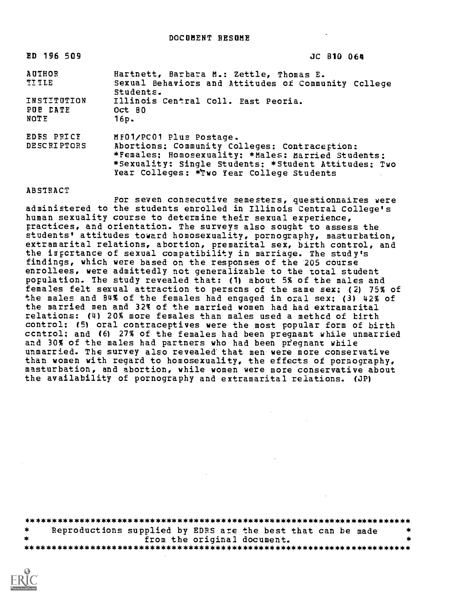| ED 196 509                       | JC 810 064                                                                                                                                                                                                                          |
|----------------------------------|-------------------------------------------------------------------------------------------------------------------------------------------------------------------------------------------------------------------------------------|
| AUTHOR<br>TITLE                  | Hartnett, Barbara M.: Zettle, Thomas E.<br>Sexual Behaviors and Attitudes of Community Ccllege<br>Students.                                                                                                                         |
| INSTITUTION<br>PUE DATE<br>NOTE  | Illinois Central Coll. East Peoria.<br>Oct 80<br>16p.                                                                                                                                                                               |
| EDFS PRICE<br><b>DESCRIPTORS</b> | MF01/PC01 Plus Postage.<br>Abortions: Community Colleges: Contraception:<br>*Females; Homosexuality: *Males: Married Students:<br>*Sexuality: Single Students: *Student Attitudes: Two<br>Year Colleges: *Two Year College Students |

ABSTRACT

For seven consecutive semesters, questionnaires were administered to the students enrolled in Illinois Central College's human sexuality course to determine their sexual experience, practices, and orientation. The surveys also sought to assess the students' attitudes toward homosexuality, pornography, masturbation, extramarital relations, abortion, premarital sex, birth control, and the irpcrtance of sexual compatibility in marriage. The study's findings, which were based on the responses of the 205 course enrollees, were admittedly not generalizable to the total student population. The study revealed that: (1) about 5% of the males and females felt sexual attraction to perscns of the same sex; (2) 75% of the males and 84% of the females had engaged in ozal sex; (3) 42% of the married men and 32% of the married women had had extramarital relations: (4) 20% more females than males used a methcd of birth control: (5) oral contraceptives were the most popular form of birth ccntrol: and (6) 27% of the females had been pregnant while unmarried and 30% of the males had partners who had been pregnant while unmarried. The survey also revealed that men were more conservative than women with regard to homosexuality, the effects of pornography, masturbation, and abortion, while women were more conservative about the availability of pornography and extramarital relations. (JP)

| — ≫k | Reproductions supplied by EDRS are the best that can be made |  |
|------|--------------------------------------------------------------|--|
|      | from the original document.                                  |  |
|      |                                                              |  |

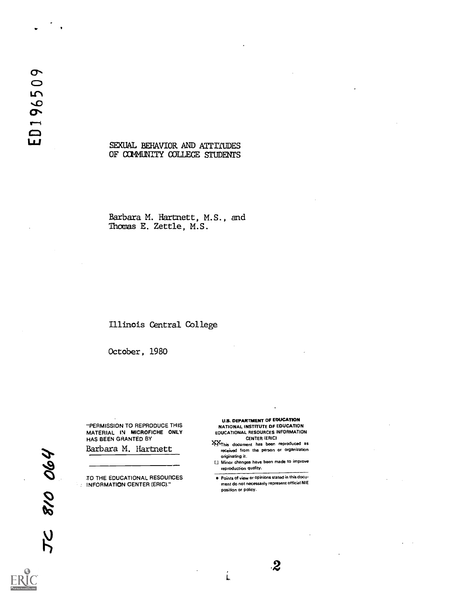#### SEXUAL BEHAVIOR AND ATTITUDES OF COMMUNITY COLLEGE STUDENTS

Barbara M. Hartnett, M.S., and Thomas E. Zettle, M.S.

### Illinois Central College

October, 1980

"PERMISSION TO REPRODUCE THIS MATERIAL IN MICROFICHE ONLY HAS BEEN GRANTED BY

Barbara M. Hartnett

TO THE EDUCATIONAL RESOURCES **INFORMATION CENTER (ERIC)."** 

U.S. DEPARTMENT OF EDUCATION NATIONAL INSTITUTE OF EDUCATION

- EDUCATIONAL RESOURCES INFORMATION CENTER (ERIC)
- )PtThis document has been reproduced as received from the person or organization originating it.
- Minor changes have been made to improve reproduction quality.

**Points of view or opinions stated in this docu**ment do not necessarily represent official NIE position or policy.

Ĺ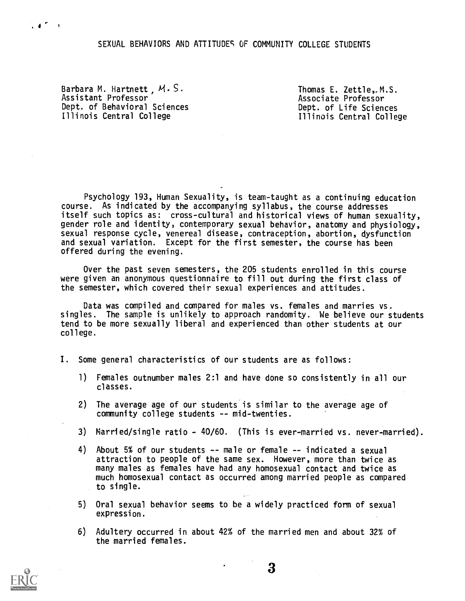### SEXUAL BEHAVIORS AND ATTITUDES OF COMMUNITY COLLEGE STUDENTS

Barbara M. Hartnett  $M.S.$ Assistant Professor Dept. of Behavioral Sciences Illinois Central College

 $\cdot$  4  $\sim$   $\cdot$ 

Thomas E. Zettle, M.S. Associate Professor Dept. of Life Sciences Illinois Central College

Psychology 193, Human Sexuality, is team-taught as a continuing education course. As indicated by the accompanying syllabus, the course addresses itself such topics as: cross-cultural and historical views of human sexuality, gender role and identity, contemporary sexual behavior, anatomy and physiology, sexual response cycle, venereal disease, contraception, abortion, dysfunction and sexual variation. Except for the first semester, the course has been offered during the evening.

Over the past seven semesters, the 205 students enrolled in this course were given an anonymous questionnaire to fill out during the first class of the semester, which covered their sexual experiences and attitudes.

Data was compiled and compared for males vs. females and marries vs. singles. The sample is unlikely to approach randomity. We believe our students tend to be more sexually liberal and experienced than other students at our college.

- I. Some general characteristics of our students are as follows:
	- 1) Females outnumber males 2:1 and have done so consistently in all our classes.
	- 2) The average age of our students is similar to the average age of community college students -- mid-twenties.
	- 3) Married/single ratio 40/60. (This is ever-married vs. never-married).
	- 4) About 5% of our students -- male or female -- indicated a sexual attraction to people of the same sex. However, more than twice as many males as females have had any homosexual contact and twice as much homosexual contact as occurred among married people as compared to single.
	- 5) Oral sexual behavior seems to be a widely practiced form of sexual expression.
	- 6) Adultery occurred in about 42% of the married men and about 32% of the married females.

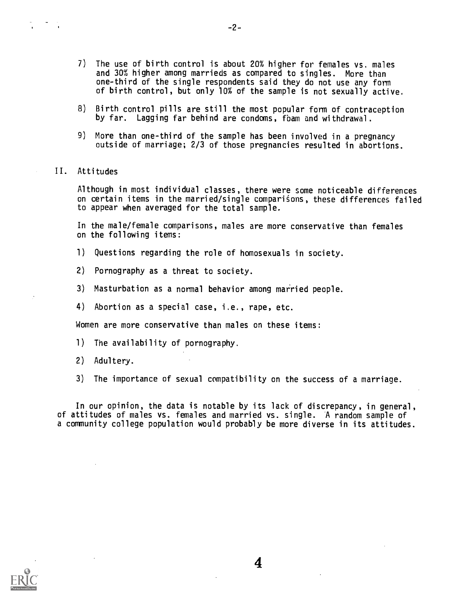- 7) The use of birth control is about 20% higher for females vs. males and 30% higher among marrieds as compared to singles. More than one-third of the single respondents said they do not use any form of birth control, but only 10% of the sample is not sexually active.
- 8) Birth control pills are still the most popular form of contraception by far. Lagging far behind are condoms, fbam and withdrawal.
- 9) More than one-third of the sample has been involved in a pregnancy outside of marriage; 2/3 of those pregnancies resulted in abortions.
- II. Attitudes

Although in most individual classes, there were some noticeable differences on certain items in the married/single comparisons, these differences failed to appear when averaged for the total sample.

In the male/female comparisons, males are more conservative than females on the following items:

- 1) Questions regarding the role of homosexuals in society.
- 2) Pornography as a threat to society.
- 3) Masturbation as a normal behavior among married people.
- 4) Abortion as a special case, i.e., rape, etc.

Women are more conservative than males on these items:

- 1) The availability of pornography.
- 2) Adultery.
- 3) The importance of sexual compatibility on the success of a marriage.

In our opinion, the data is notable by its lack of discrepancy, in general, of attitudes of males vs. females and married vs. single. A random sample of a community college population would probably be more diverse in its attitudes.

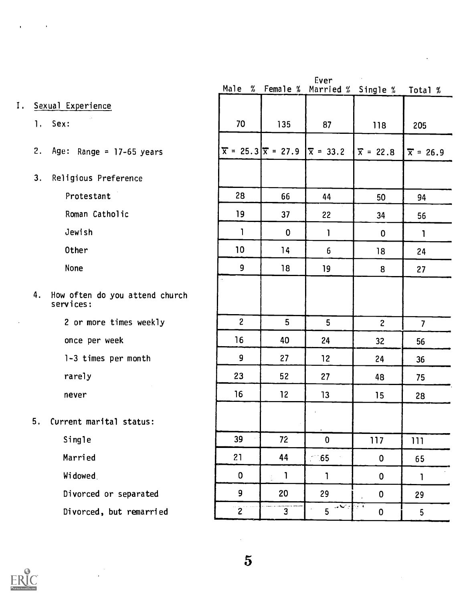# I. Sexual Experience

1. Sex:

- 2. Age: Range = 17-65 years
- 3. Religious Preference

Protestant

Roman Catholic

Jewish

Other

None

4. How often do you attend church services:

2 or more times weekly

once per week

1-3 times per month

rarely

never

5. Current marital status:

Single

Married

Widowed

Divorced or separated

Divorced, but remarried

|                |                                  | tver               |                                            |                  |
|----------------|----------------------------------|--------------------|--------------------------------------------|------------------|
|                |                                  |                    | Male % Female % Married % Single % Total % |                  |
|                |                                  |                    |                                            |                  |
| 70             | 135                              | 87                 | 118                                        | 205              |
|                | $\bar{x} = 25.3  \bar{x} = 27.9$ | $ \bar{x} = 33.2 $ | $\bar{x} = 22.8$                           | $\bar{x}$ = 26.9 |
|                |                                  |                    |                                            |                  |
| 28             | 66                               | 44                 | 50                                         | 94               |
| 19             | 37                               | 22                 | 34                                         | 56               |
| 1              | $\pmb{0}$                        | $\mathbf{I}$       | $\mathbf 0$                                | $\mathbf{1}$     |
| 10             | 14                               | 6                  | 18                                         | 24               |
| 9              | 18                               | 19                 | 8                                          | 27               |
|                |                                  |                    |                                            |                  |
|                |                                  |                    |                                            |                  |
| $\overline{c}$ | 5                                | 5                  | $\mathbf{z}$                               | $\overline{7}$   |
| 16             | 40                               | 24                 | 32                                         | 56               |
| 9              | 27                               | 12                 | 24                                         | 36               |
| 23             | 52                               | 27                 | 48                                         | 75               |
| 16             | 12                               | 13                 | 15                                         | 28               |
|                |                                  | í,                 |                                            |                  |
| 39             | 72                               | 0                  | 117                                        | 111              |
| 21             | 44                               | $-65$<br>÷         | 0                                          | 65               |
| $\pmb{0}$      | 1<br>$\frac{1}{4\pi}$            | 1                  | 0                                          | $\mathbf{I}$     |
| 9              | 20                               | 29                 | 0                                          | 29               |
| $\overline{c}$ | $\overline{3}$                   | v.<br>5            | $\alpha=4$<br>0                            | 5                |
|                |                                  |                    |                                            |                  |

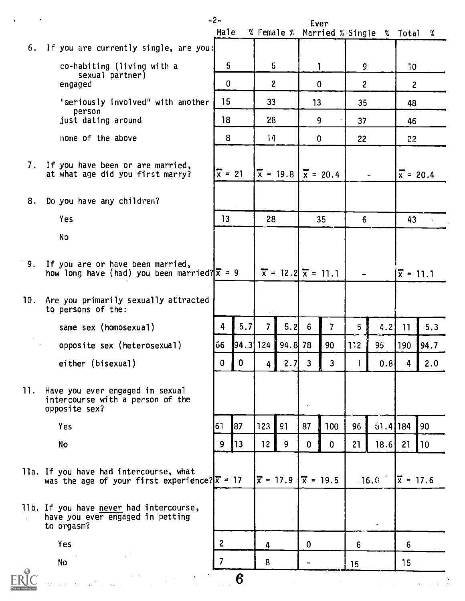| $\,$<br>$\bullet$ |                                                                                                            | $-2-$<br>Male      |             | $%$ Female $%$  |                                              | Ever         |                  |                | Married % Single % Total |                   | X                |
|-------------------|------------------------------------------------------------------------------------------------------------|--------------------|-------------|-----------------|----------------------------------------------|--------------|------------------|----------------|--------------------------|-------------------|------------------|
|                   | 6. If you are currently single, are you:                                                                   |                    |             |                 |                                              |              |                  |                |                          |                   |                  |
|                   | co-habiting (living with a                                                                                 | 5                  |             | 5               |                                              |              | 1                | 9              |                          | 10 <sup>°</sup>   |                  |
|                   | sexual partner)<br>engaged                                                                                 | $\mathbf{0}$       |             | $\overline{c}$  |                                              | $\mathbf{0}$ |                  | $\overline{c}$ |                          | $\overline{c}$    |                  |
|                   | "seriously involved" with another                                                                          | 15                 |             | 33              |                                              | 13           |                  | 35             |                          | 48                |                  |
|                   | person<br>just dating around                                                                               | 18                 |             | 28              |                                              | 9            |                  | 37             |                          | 46                |                  |
|                   | none of the above                                                                                          | 8                  |             | 14              |                                              | $\mathbf{0}$ |                  |                |                          |                   |                  |
|                   |                                                                                                            |                    |             |                 |                                              |              |                  | 22             |                          | 22                |                  |
|                   | 7. If you have been or are married,<br>at what age did you first marry?                                    | $\frac{1}{x} = 21$ |             |                 | $\bar{x} = 19.8$                             |              | $\bar{x} = 20.4$ |                |                          |                   | $\bar{x}$ = 20.4 |
| 8.                | Do you have any children?                                                                                  |                    |             |                 |                                              |              |                  |                |                          |                   |                  |
|                   | Yes                                                                                                        | 13                 |             | 28              |                                              |              | 35               | 6              |                          | 43                |                  |
|                   | <b>No</b>                                                                                                  |                    |             |                 |                                              |              |                  |                |                          |                   |                  |
|                   | 9. If you are or have been married,<br>how long have (had) you been married? $\bar{x} = 9$                 |                    |             |                 | $\bar{x}$ = 12.2 $\bar{x}$ = 11.1            |              |                  |                |                          |                   | $\bar{x} = 11.1$ |
| 10.               | Are you primarily sexually attracted<br>to persons of the:                                                 |                    |             |                 |                                              |              |                  |                |                          |                   |                  |
|                   | same sex (homosexual)                                                                                      | 4                  | 5.7         | $\overline{7}$  | 5.2                                          | 6            | $\overline{7}$   | 5              | 4.2                      | 11                | 5.3              |
|                   | opposite sex (heterosexual)                                                                                | 66                 | $94.3$ 124  |                 | 94.8 78                                      |              | 90               | 112            | 95                       | 190               | 94.7             |
|                   | either (bisexual)                                                                                          | $\mathbf 0$        | $\mathbf 0$ | 4               | 2.7                                          | 3            | 3                |                | 0.81                     | 4                 | 2.0              |
| 11.               | Have you ever engaged in sexual<br>intercourse with a person of the<br>opposite sex?                       |                    |             |                 |                                              |              |                  |                |                          |                   |                  |
|                   | Yes                                                                                                        | 61                 | 87          | 123             | 91                                           | 87           | 100              | 96             | $31.4$ 184               |                   | 90               |
|                   | <b>No</b>                                                                                                  | 9                  | 13          | 12 <sub>1</sub> | 9                                            | $\mathbf{0}$ | $\mathbf{0}$     | 21             | 18.6                     | 21                | 10               |
|                   | lla. If you have had intercourse, what<br>was the age of your first experience? $\sqrt{\overline{x}}$ = 17 |                    |             |                 | $ \overline{x} = 17.9   \overline{x} = 19.5$ |              |                  |                | .16.0                    | $ \vec{x} = 17.6$ |                  |
| $\mathbf{r}$      | 11b. If you have never had intercourse,<br>have you ever engaged in petting<br>to orgasm?                  |                    |             |                 |                                              |              |                  |                |                          |                   |                  |
|                   | Yes                                                                                                        | $\overline{c}$     |             | 4               |                                              | $\mathbf{0}$ |                  | 6              |                          | 6                 |                  |
|                   | <b>No</b>                                                                                                  | $\overline{7}$     |             | 8               |                                              |              |                  | 15             |                          | 15                |                  |
|                   | $\label{eq:2.1} \frac{d\mathbf{x}}{d\mathbf{x}} = \frac{d\mathbf{x}}{d\mathbf{x}} \mathbf{x}^{(0)}$        |                    | 6           |                 |                                              |              |                  |                |                          |                   | 그 그 소중           |

 $\sim$   $\alpha$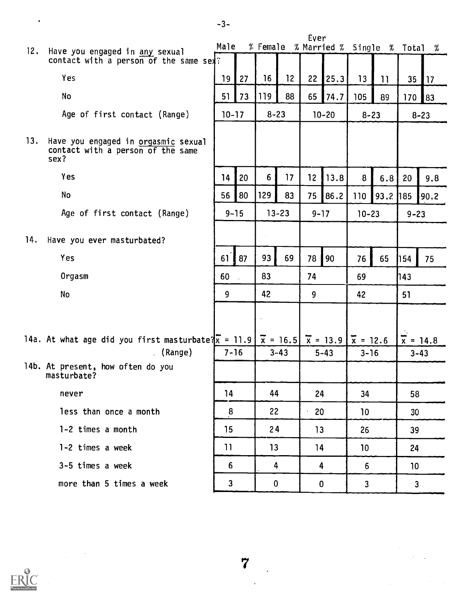|     |                                                                                                                                    | Male            |    |             |                 | Ever            |             | % Female % Married % Single % Total % |      |                  |                  |
|-----|------------------------------------------------------------------------------------------------------------------------------------|-----------------|----|-------------|-----------------|-----------------|-------------|---------------------------------------|------|------------------|------------------|
| 12. | Have you engaged in any sexual<br>contact with a person of the same sext?                                                          |                 |    |             |                 |                 |             |                                       |      |                  |                  |
|     | Yes                                                                                                                                | 19              | 27 | 16          | 12 <sup>°</sup> |                 | $22$   25.3 | 13                                    | 11   |                  | $35$   17        |
|     | No                                                                                                                                 | 51              | 73 | 119         | 88              |                 | $65$ 74.7   | 105                                   | 89   | 170 <sub>1</sub> | 83               |
|     | Age of first contact (Range)                                                                                                       | $10 - 17$       |    | $8 - 23$    |                 |                 | $10 - 20$   | $8 - 23$                              |      |                  | $8 - 23$         |
| 13. | Have you engaged in orgasmic sexual<br>contact with a person of the same<br>sex?                                                   |                 |    |             |                 |                 |             |                                       |      |                  |                  |
|     | Yes                                                                                                                                | 14              | 20 | 6           | 17              | 12 <sub>2</sub> | 13.8        | 8 <sup>1</sup>                        | 6.8  | 20               | 9.8              |
|     | <b>No</b>                                                                                                                          | 56              | 80 | 129         | 83              | 75              | 86.2        | 110                                   | 93.2 | 185              | 90.2             |
|     | Age of first contact (Range)                                                                                                       | $9 - 15$        |    |             | $13 - 23$       | $9 - 17$        |             | $10 - 23$                             |      | $9 - 23$         |                  |
| 14. | Have you ever masturbated?                                                                                                         |                 |    |             |                 |                 |             |                                       |      |                  |                  |
|     | Yes                                                                                                                                | 61              | 87 | 93          | 69              | 78              | 90          | 76                                    | 65   | 154              | 75               |
|     | Orgasm                                                                                                                             | 60              |    | 83          |                 | 74              |             | 69                                    |      | 143              |                  |
|     | No                                                                                                                                 | 9               |    | 42          |                 | 9               |             | 42                                    |      | 51               |                  |
|     |                                                                                                                                    |                 |    |             |                 |                 |             |                                       |      |                  |                  |
|     | 14a. At what age did you first masturbate? $\overline{x}$ = 11.9 $\overline{x}$ = 16.5 $\overline{x}$ = 13.9 $\overline{x}$ = 12.6 |                 |    |             |                 |                 |             |                                       |      |                  | $\bar{x} = 14.8$ |
|     | (Range)                                                                                                                            | $7 - 16$        |    |             | $3 - 43$        |                 | $5 - 43$    | $3 - 16$                              |      |                  | $3 - 43$         |
|     | 14b. At present, how often do you<br>masturbate?                                                                                   |                 |    |             |                 |                 |             |                                       |      |                  |                  |
|     | never                                                                                                                              | 14              |    | 44          |                 | 24              |             | 34                                    |      | 58               |                  |
|     | less than once a month                                                                                                             | 8               |    | 22          |                 | 20              |             | 10                                    |      | 30               |                  |
|     | 1-2 times a month                                                                                                                  | 15              |    | 24          |                 | 13              |             | 26                                    |      | 39               |                  |
|     | 1-2 times a week                                                                                                                   | $\overline{11}$ |    | 13          |                 | 14              |             | 10                                    |      | 24               |                  |
|     | 3-5 times a week                                                                                                                   | 6               |    | 4           |                 | 4               |             | 6                                     |      | 10 <sup>°</sup>  |                  |
|     | more than 5 times a week                                                                                                           | $\mathbf{3}$    |    | $\mathbf 0$ |                 | $\mathbf 0$     |             | $\mathbf{3}$                          |      | $\mathbf{3}$     |                  |



 $\label{eq:2.1} \frac{1}{\sqrt{2\pi}}\int_{0}^{\infty}\frac{1}{\sqrt{2\pi}}\left(\frac{1}{\sqrt{2\pi}}\right)^{2\alpha}d\theta.$ 

-3-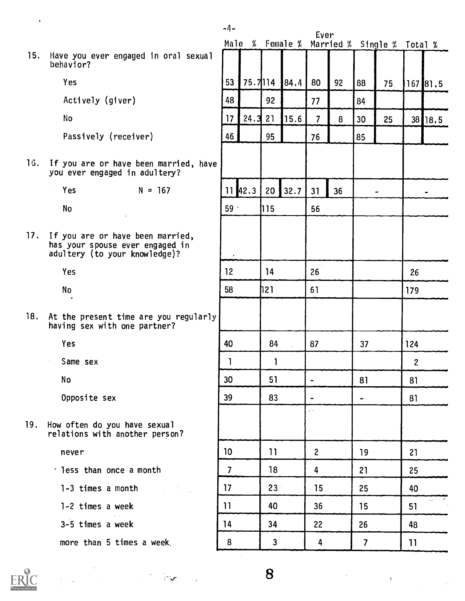15. Have you ever engaged in oral sexual behavior?

-4-

Yes

Actively (giver)

No

Passively (receiver)

16. If you are or have been married, hav you ever engaged in adultery?

> $Yes$   $N = 167$  $\sqrt{2}$

> > No

17. If you are or have been married, has your spouse ever engaged in adultery (to your knowledge)?

Yes

No

18. At the present time are you regularly having sex with one partner?

Yes

Same sex

No

 $\bar{z}$ 

Opposite sex

19. How often do you have sexual relations with another person?

never

- less than once a month
	- 1-3 times a month
	- 1-2 times a week
	- 3-5 times a week

more than 5 times a week.

|                  |              |                 | Male % Female % | tver                     |    |                         | Married % Single % Total % |                  |           |
|------------------|--------------|-----------------|-----------------|--------------------------|----|-------------------------|----------------------------|------------------|-----------|
|                  |              |                 |                 |                          |    |                         |                            |                  |           |
| 53               | 75.7114      |                 | 84.4            | 80                       | 92 | 88                      | 75.                        |                  | 167 81.5  |
| 48               |              | 92              |                 | 77                       |    | 84                      |                            |                  |           |
| 17               | 24.3         | 21              | 15.6            | $\overline{\mathcal{L}}$ | 8  | 30                      | 25                         | 38               | 18.5      |
| 46               |              | 95              |                 | 76                       |    | 85                      |                            |                  |           |
|                  |              |                 |                 |                          |    |                         |                            |                  |           |
|                  | $11 \, 42.3$ | 20              | 32.7            | 31                       | 36 |                         | .,                         |                  | ٠         |
| 59 $\cdot$       |              | 115             |                 | 56                       |    |                         |                            |                  |           |
|                  |              |                 |                 |                          |    |                         |                            |                  |           |
| $\pmb{\cdot}$    |              |                 |                 |                          |    |                         |                            |                  |           |
| 12               |              | 14              |                 | 26                       |    |                         |                            | 26               |           |
| 58               |              | 121             |                 | 61                       |    |                         |                            | 179              |           |
|                  |              |                 |                 |                          |    |                         |                            |                  |           |
| 40               |              | 84              | t,              | 87                       |    | 37                      |                            | 124              |           |
| $\mathbf{I}$     |              | 1               |                 |                          |    |                         |                            | $\boldsymbol{2}$ |           |
| 30               |              | 51              |                 | $\overline{\phantom{0}}$ |    | 81                      |                            | 81               |           |
| 39               |              | 83              |                 |                          |    |                         |                            | 81               |           |
|                  |              |                 |                 | . .                      |    |                         |                            |                  |           |
| 10               |              | $\overline{11}$ |                 | $\overline{\mathbf{c}}$  |    | 19                      |                            | 21               |           |
| $\overline{7}$   |              | 18              |                 | 4                        |    | 21                      |                            | 25               |           |
| 17               |              | 23              |                 | 15                       |    | 25                      |                            | 40               |           |
| $\overline{11}$  |              | 40              |                 | 36                       |    | 15                      |                            | 51               | $\ddotsc$ |
| 14               |              | 34              |                 | 22                       |    | 26                      |                            | 48               |           |
| $\boldsymbol{8}$ |              | 3               |                 | 4                        |    | $\overline{\mathbf{z}}$ |                            | 11               |           |
|                  |              |                 |                 |                          |    |                         |                            |                  |           |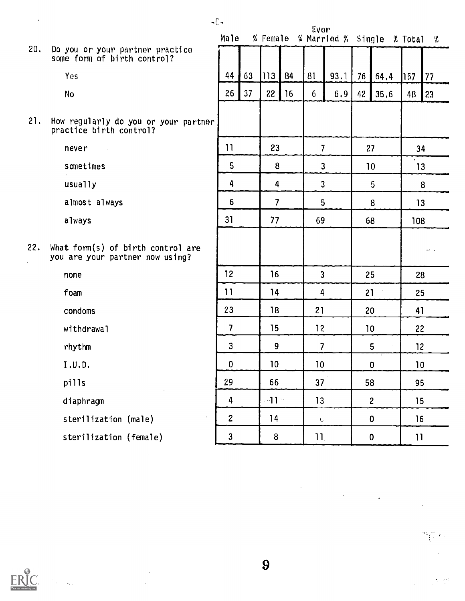20. Do you or your partner practice some form of birth control?

Yes

No

21. How regularly do you or your partner practice birth control?

never

sometimes

usually

almost always

always

22. What form(s) of birth control are you are your partner now using?

none

foam

condoms

withdrawal

rhythm

I . U. D.

pills

diaphragm

sterilization (male)

sterilization (female)

| . | Male                    |    |                                     |    | Ever                     |                         |    | % Female % Married % Single % Total |                 | - %          |    |    |
|---|-------------------------|----|-------------------------------------|----|--------------------------|-------------------------|----|-------------------------------------|-----------------|--------------|----|----|
|   |                         |    |                                     |    |                          |                         |    |                                     |                 |              |    |    |
|   | 44                      | 63 | 113                                 | 84 | 81                       | 93.1                    | 76 | 64.4                                | 157             | 77           |    |    |
|   | 26                      | 37 | 22                                  | 16 | 6                        | 6,9                     | 42 | 35.6                                | 48              | 23           |    |    |
|   |                         |    |                                     |    |                          |                         |    |                                     |                 |              |    |    |
| ٩ |                         |    |                                     |    |                          |                         |    |                                     |                 |              |    |    |
|   | 11                      |    | 23                                  |    | $\overline{\phantom{a}}$ |                         | 27 |                                     | 34              |              |    |    |
|   | 5                       |    | 8                                   |    | 3                        |                         | 10 |                                     | 13              |              |    |    |
|   | 4                       |    | 4                                   |    | 3                        |                         | 5  |                                     |                 | 8            |    |    |
|   | $\bf 6$                 |    | $\overline{\mathbf{z}}$             |    | 5                        |                         | 8  |                                     | 13              |              |    |    |
|   | 31                      |    | 77                                  |    | 69                       |                         | 68 |                                     | 108             |              |    |    |
|   |                         |    |                                     |    |                          |                         |    |                                     |                 |              |    |    |
|   |                         |    |                                     |    |                          |                         |    |                                     |                 |              |    |    |
|   | 12                      |    | 16                                  |    | $\mathbf{3}$             |                         | 25 |                                     | 28              |              |    |    |
|   | 11                      |    | 14                                  |    | 4                        |                         | 21 |                                     | 25              |              |    |    |
|   | 23                      |    | 18                                  |    | 21                       |                         |    | 20                                  |                 | 41           |    |    |
|   | $\overline{\mathbf{z}}$ |    | 15                                  |    | 12                       |                         | 10 |                                     | 22              |              |    |    |
|   | 3                       |    | 9                                   |    |                          | $\overline{\mathbf{z}}$ |    | 5                                   | 12              |              |    |    |
|   | $\mathbf{0}$            |    | 10 <sub>1</sub><br>10 <sub>10</sub> |    |                          |                         |    | $\mathbf 0$                         | $10\,$          |              |    |    |
|   | 29                      |    | 66                                  |    | 37                       |                         |    |                                     | 58              |              | 95 |    |
|   | 4                       |    | $-11$                               |    |                          | 13                      |    |                                     |                 | $\mathbf{2}$ |    | 15 |
|   | $\mathbf{2}$            |    | 14                                  |    | $\mathbf{C}$             |                         |    | 0                                   | 16              |              |    |    |
|   | 3                       |    | 8                                   |    | 11 <sub>1</sub>          |                         |    | $\bf{0}$                            | $\overline{11}$ |              |    |    |

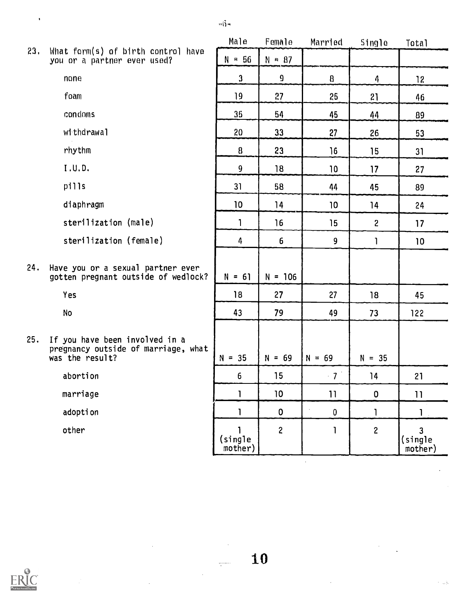|     |                                                                          | Male                  | Female         | Married | Single       |
|-----|--------------------------------------------------------------------------|-----------------------|----------------|---------|--------------|
| 23. | What form(s) of birth control have<br>you or a partner ever used?        | $= 56$<br>$N_{\odot}$ | $N = 87$       |         |              |
|     | none                                                                     | 3                     | $\overline{9}$ | 8       | 4            |
|     | foam                                                                     | 19                    | 27             | 25      | 21           |
|     | condoms                                                                  | 35                    | 54             | 45      | 44           |
|     | withdrawal                                                               | 20                    | 33             | 27      | 26           |
|     | rhythm                                                                   | 8                     | 23             | 16      | 15           |
|     | I.U.D.                                                                   | 9                     | 18             | 10      | 17           |
|     | pills                                                                    | 31                    | 58             | 44      | 45           |
|     | diaphragm                                                                | 10                    | 14             | 10      | 14           |
|     | sterilization (male)                                                     | 1                     | 16             | 15      | $\mathbf{2}$ |
|     | sterilization (female)                                                   | 4                     | 6              | 9       |              |
| 24. | Have you or a sexual partner ever<br>gotten pregnant outside of wedlock? | $N = 61$              | $N = 106$      |         |              |
|     |                                                                          |                       |                |         |              |

Yes

No

25. If you have been involved in a pregnancy outside of marriage, what was the result?

abortion

marriage

adoption

other

|            | .,                      | .,                      |                 |                                           |                           |
|------------|-------------------------|-------------------------|-----------------|-------------------------------------------|---------------------------|
|            | $\mathfrak{z}$          | $\overline{\mathbf{g}}$ | $\mathbf{g}$    | 4                                         | 12                        |
|            | 19                      | 27                      | 25              | 21                                        | 46                        |
|            | 35                      | 54                      | 45              | 44                                        | 89                        |
|            | 20                      | 33                      | 27              | 26                                        | 53                        |
|            | 8                       | 23                      | 16              | 15                                        | 31                        |
|            | 9                       | 18                      | 10              | 17                                        | 27                        |
|            | 31                      | 58                      | 44              | 45                                        | 89                        |
|            | 10                      | 14                      | 10              | 14                                        | 24                        |
|            | $\mathbf{1}$            | 16                      | 15              | $\overline{\mathbf{c}}$                   | 17                        |
|            | 4                       | 6                       | 9               | $\begin{array}{c} \mathbf{1} \end{array}$ | 10                        |
|            |                         |                         |                 |                                           |                           |
| 'n.<br>ck? | $N = 61$                | $N = 106$               |                 |                                           |                           |
|            | 18                      | 27                      | 27              | 18                                        | 45                        |
|            | 43                      | 79                      | 49              | 73                                        | 122                       |
|            |                         |                         |                 |                                           |                           |
| ha t       | $N = 35$                | $N = 69$                | $N = 69$        | $N = 35$                                  |                           |
|            | 6                       | 15                      | $-7$            | 14                                        | 21                        |
|            | 1                       | 10                      | 11              | $\pmb{0}$                                 | 11                        |
|            | <sup>1</sup>            | $\mathbf 0$             | Ŷ,<br>$\pmb{0}$ | $\mathbf{I}$                              | 1                         |
|            | 1<br>(single<br>mother) | $\overline{\mathbf{c}}$ | $\mathbf{I}$    | $\overline{\mathbf{c}}$                   | $3$<br>(single<br>mother) |

10

Total

 $\sqrt{2}$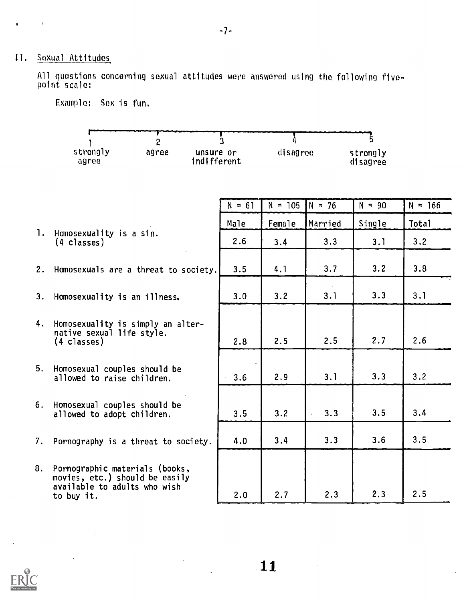# II, Sexual Attitudes

 $\bullet$ 

 $\mathcal{O}(\mathcal{A})$ 

A11 questions concerning sexual attitudes were answered using the following fivepoint scale:

|    | $\overline{2}$<br>strongly<br>agree<br>unsure or<br>indifferent<br>agree                                          | 3        | disagree  |          | strongly<br>disagree |           |
|----|-------------------------------------------------------------------------------------------------------------------|----------|-----------|----------|----------------------|-----------|
|    |                                                                                                                   | $N = 61$ | $N = 105$ | $N = 76$ | $N = 90$             | $N = 166$ |
|    |                                                                                                                   | Male     | Female    | Married  | Single               | Total     |
|    | 1. Homosexuality is a sin.<br>(4 classes)                                                                         | 2.6      | 3.4       | 3.3      | 3.1                  | 3.2       |
|    | 2. Homosexuals are a threat to society.                                                                           | 3.5      | 4.1       | 3.7      | 3.2                  | 3.8       |
| 3. | Homosexuality is an illness.                                                                                      | 3.0      | 3.2       | 3.1      | 3.3                  | 3.1       |
| 4. | Homosexuality is simply an alter-<br>native sexual life style.<br>$(4 \text{ classes})$                           | 2.8      | 2.5       | 2.5      | 2.7                  | 2.6       |
|    | 5. Homosexual couples should be<br>allowed to raise children.                                                     | 3.6      | 2.9       | 3.1      | 3.3                  | 3.2       |
|    | 6. Homosexual couples should be<br>allowed to adopt children.                                                     | 3.5      | 3.2       | 3.3      | 3.5                  | 3.4       |
|    | 7. Pornography is a threat to society.                                                                            | 4.0      | 3.4       | 3.3      | 3.6                  | 3.5       |
|    | 8. Pornographic materials (books,<br>movies, etc.) should be easily<br>available to adults who wish<br>to buy it. | 2.0      | 2.7       | 2.3      | 2.3                  | 2.5       |

Example: Sex is fun.

 $\hat{\boldsymbol{\theta}}$ 

 $-7-$ 

 $11$ 

 $\mathcal{A}^{\mathcal{A}}$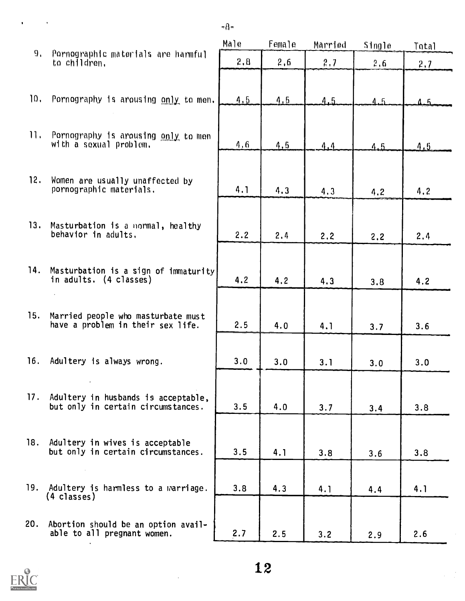|                |                                                                               | Male | Female | Married | Single | Total |
|----------------|-------------------------------------------------------------------------------|------|--------|---------|--------|-------|
| 9 <sub>1</sub> | Pornographic materials are harmful<br>to children.                            | 2,8  | 2,6    | 2,7     | 2,6    | 2.7   |
| 10.            | Pornography is arousing only to men.                                          | 4.5  | 4.5    | A.5     | 4.5    | 4 F   |
| 11.            | Pornography is arousing only to men<br>with a sexual problem.                 | 4.6  | 4, 5   | 4.4     | 4.5    | 4.5   |
| 12.            | Women are usually unaffected by<br>pornographic materials.                    | 4.1  | 4.3    | 4.3     | 4.2    | 4.2   |
|                | 13. Masturbation is a normal, healthy<br>behavior in adults.                  | 2.2  | 2.4    | 2,2     | 2,2    | 2.4   |
| 14.            | Masturbation is a sign of immaturity<br>in adults. (4 classes)                | 4.2  | 4.2    | 4.3     | 3.8    | 4.2   |
| 15.            | Married people who masturbate must<br>have a problem in their sex life.       | 2.5  | 4.0    | 4.1     | 3.7    | 3.6   |
| 16.            | Adultery is always wrong.                                                     | 3.0  | 3.0    | 3.1     | 3.0    | 3.0   |
|                | 17. Adultery in husbands is acceptable,<br>but only in certain circumstances. | 3.5  | 4.0    | 3.7     | 3.4    | 3.8   |
| 18.            | Adultery in wives is acceptable<br>but only in certain circumstances.         | 3.5  | 4.1    | 3.8     | 3.6    | 3.8   |
| 19.            | Adultery is harmless to a warriage.<br>(4 classes)                            | 3.8  | 4.3    | 4.1     | 4.4    | 4.1   |
| 20.            | Abortion should be an option avail-<br>able to all pregnant women.            | 2.7  | 2.5    | 3.2     | 2.9    | 2.6   |

-8-

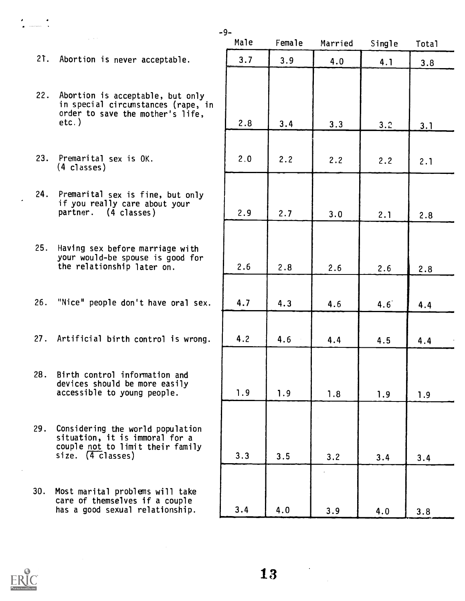- 21. Abortion is never acceptable.
- 22. Abortion is acceptable, but only in special circumstances (rape, in order to save the mother's life, etc.)
- 23. Premarital sex is OK. (4 classes)
- 24. Premarital sex is fine, but only if you really care about your partner. (4 classes)
- 25. Having sex before marriage with your would-be spouse is good for the relationship later on.
- 26. "Nice" people don't have oral sex.
- 27. Artificial birth control is wrong.
- 28. Birth control information and devices should be more easily accessible to young people.
- 29. Considering the world population situation, it is immoral for a couple not to limit their family  $size.$   $(4 \text{ classes})$
- 30. Most marital problems will take care of themselves if a couple has a good sexual relationship.

| Male  | Female | Married | Single          | Total      |
|-------|--------|---------|-----------------|------------|
| 3.7   | 3.9    | 4.0     | 4.1             | 3.8        |
|       |        |         |                 |            |
| 2.8   | 3.4    | 3.3     | 3.2             | <u>3.1</u> |
| $2.0$ | 2.2    | 2.2     | 2.2             | 2.1        |
| 2.9   | 2.7    | 3.0     | 2.1             | 2.8        |
|       |        |         |                 |            |
| $2.6$ | $2.8$  | 2.6     | 2.6             | 2.8        |
| 4.7   | 4.3    | 4.6     | $4.6^{\degree}$ | 4.4        |
| 4.2   | 4.6    | 4.4     | 4.5             | 4.4        |
| 1.9   | 1.9    | 1.8     | 1.9             | 1.9        |
|       |        |         |                 |            |
| 3.3   | 3.5    | 3.2     | 3.4             | 3.4        |
| 3.4   | 4.0    | 3.9     | 4.0             | 3.8        |

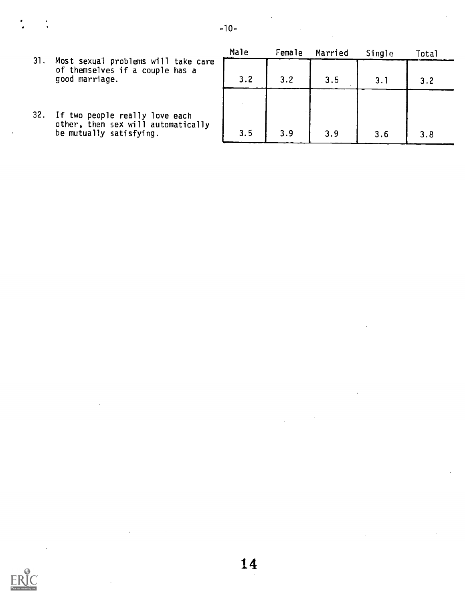- 31. Most sexual problems will take care of themselves if a couple has a good marriage.
- 32. If two people really love each other, then sex will automatically be mutually satisfying.

| Male | Female | Married | Single | Total |
|------|--------|---------|--------|-------|
| 3.2  | 3.2    | 3.5     | 3.1    | 3.2   |
|      |        |         |        |       |
|      |        |         |        |       |
| 3.5  | 3.9    | 3.9     | 3.6    | 3.8   |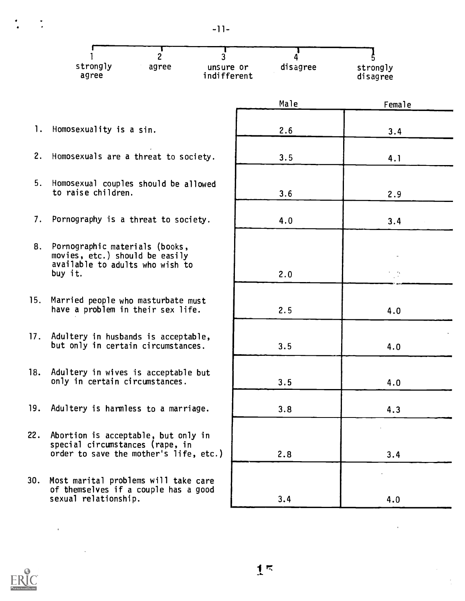$-11-$ 

| strongly<br>agree | agree | unsure or<br>indifferent | disagree | strongly<br>disagree |  |
|-------------------|-------|--------------------------|----------|----------------------|--|

- 1. Homosexuality is a sin.
- 2. Homosexuals are a threat to society.
- 5. Homosexual couples should be allowed to raise children.
- 7. Pornography is a threat to society.
- 8. Pornographic materials (books, movies, etc.) should be easily available to adults who wish to buy it.
- 15. Married people who masturbate must have a problem in their sex life.
- 17. Adultery in husbands is acceptable, but only in certain circumstances.
- 18. Adultery in wives is acceptable but only in certain circumstances.
- 19. Adultery is harmless to a marriage.
- 22. Abortion is acceptable, but only in special circumstances (rape, in order to save the mother's life, etc.)
- 30. Most marital problems will take care of themselves if a couple has a good sexual relationship.

| Male | Female |  |
|------|--------|--|
|      |        |  |
| 2.6  | 3.4    |  |
| 3.5  | 4.1    |  |
|      |        |  |
| 3.6  | 2.9    |  |
| 4.0  | 3.4    |  |
|      |        |  |
|      |        |  |
| 2.0  |        |  |
|      |        |  |
| 2.5  | 4.0    |  |
|      |        |  |
| 3.5  | 4.0    |  |
|      |        |  |
| 3.5  | 4.0    |  |
| 3.8  | 4.3    |  |
|      |        |  |
|      |        |  |
| 2.8  | 3.4    |  |
|      |        |  |
| 3.4  | 4.0    |  |



 $\epsilon$